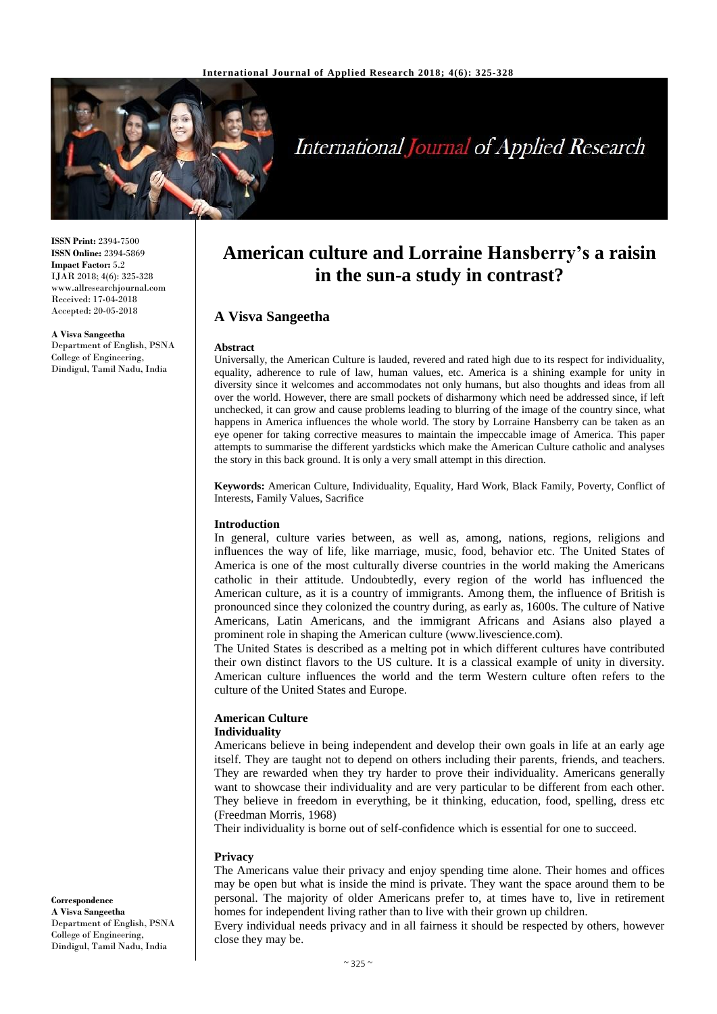

# **International Journal of Applied Research**

**ISSN Print:** 2394-7500 **ISSN Online:** 2394-5869 **Impact Factor:** 5.2 IJAR 2018; 4(6): 325-328 www.allresearchjournal.com Received: 17-04-2018 Accepted: 20-05-2018

**A Visva Sangeetha**

Department of English, PSNA College of Engineering, Dindigul, Tamil Nadu, India

## **American culture and Lorraine Hansberry's a raisin in the sun-a study in contrast?**

#### **A Visva Sangeetha**

#### **Abstract**

Universally, the American Culture is lauded, revered and rated high due to its respect for individuality, equality, adherence to rule of law, human values, etc. America is a shining example for unity in diversity since it welcomes and accommodates not only humans, but also thoughts and ideas from all over the world. However, there are small pockets of disharmony which need be addressed since, if left unchecked, it can grow and cause problems leading to blurring of the image of the country since, what happens in America influences the whole world. The story by Lorraine Hansberry can be taken as an eye opener for taking corrective measures to maintain the impeccable image of America. This paper attempts to summarise the different yardsticks which make the American Culture catholic and analyses the story in this back ground. It is only a very small attempt in this direction.

**Keywords:** American Culture, Individuality, Equality, Hard Work, Black Family, Poverty, Conflict of Interests, Family Values, Sacrifice

#### **Introduction**

In general, culture varies between, as well as, among, nations, regions, religions and influences the way of life, like marriage, music, food, behavior etc. The United States of America is one of the most culturally diverse countries in the world making the Americans catholic in their attitude. Undoubtedly, every region of the world has influenced the American culture, as it is a country of immigrants. Among them, the influence of British is pronounced since they colonized the country during, as early as, 1600s. The culture of Native Americans, Latin Americans, and the immigrant Africans and Asians also played a prominent role in shaping the American culture (www.livescience.com).

The United States is described as a melting pot in which different cultures have contributed their own distinct flavors to the US culture. It is a classical example of unity in diversity. American culture influences the world and the term Western culture often refers to the culture of the United States and Europe.

### **American Culture**

#### **Individuality**

Americans believe in being independent and develop their own goals in life at an early age itself. They are taught not to depend on others including their parents, friends, and teachers. They are rewarded when they try harder to prove their individuality. Americans generally want to showcase their individuality and are very particular to be different from each other. They believe in freedom in everything, be it thinking, education, food, spelling, dress etc (Freedman Morris, 1968)

Their individuality is borne out of self-confidence which is essential for one to succeed.

#### **Privacy**

The Americans value their privacy and enjoy spending time alone. Their homes and offices may be open but what is inside the mind is private. They want the space around them to be personal. The majority of older Americans prefer to, at times have to, live in retirement homes for independent living rather than to live with their grown up children.

Every individual needs privacy and in all fairness it should be respected by others, however close they may be.

**Correspondence A Visva Sangeetha** Department of English, PSNA College of Engineering, Dindigul, Tamil Nadu, India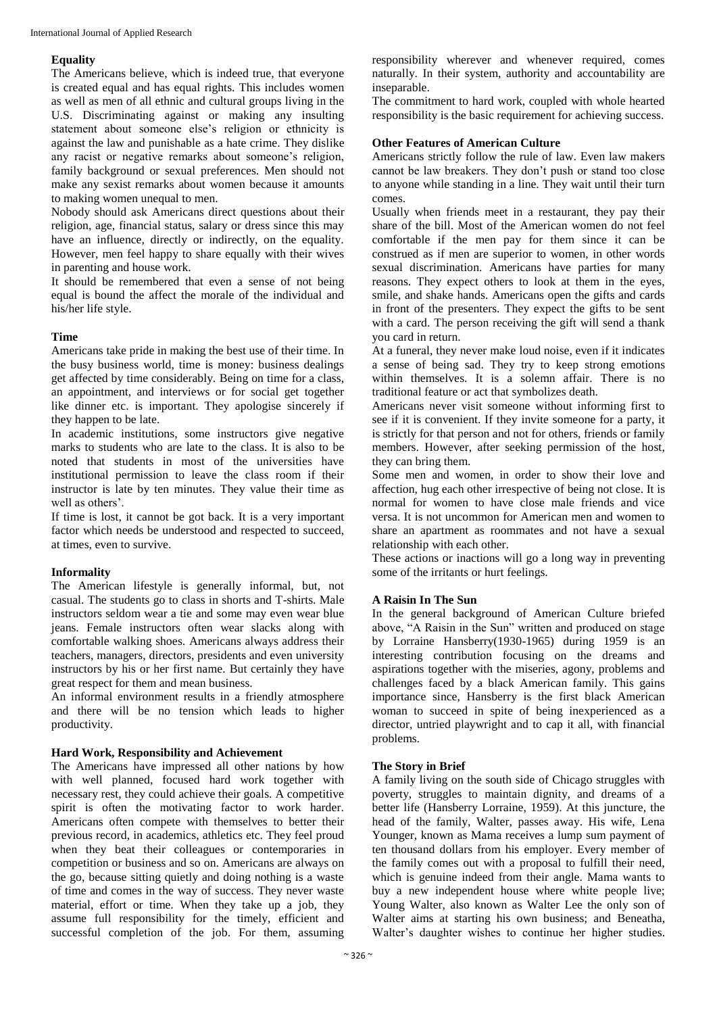#### **Equality**

The Americans believe, which is indeed true, that everyone is created equal and has equal rights. This includes women as well as men of all ethnic and cultural groups living in the U.S. Discriminating against or making any insulting statement about someone else's religion or ethnicity is against the law and punishable as a hate crime. They dislike any racist or negative remarks about someone's religion, family background or sexual preferences. Men should not make any sexist remarks about women because it amounts to making women unequal to men.

Nobody should ask Americans direct questions about their religion, age, financial status, salary or dress since this may have an influence, directly or indirectly, on the equality. However, men feel happy to share equally with their wives in parenting and house work.

It should be remembered that even a sense of not being equal is bound the affect the morale of the individual and his/her life style.

#### **Time**

Americans take pride in making the best use of their time. In the busy business world, time is money: business dealings get affected by time considerably. Being on time for a class, an appointment, and interviews or for social get together like dinner etc. is important. They apologise sincerely if they happen to be late.

In academic institutions, some instructors give negative marks to students who are late to the class. It is also to be noted that students in most of the universities have institutional permission to leave the class room if their instructor is late by ten minutes. They value their time as well as others'.

If time is lost, it cannot be got back. It is a very important factor which needs be understood and respected to succeed, at times, even to survive.

#### **Informality**

The American lifestyle is generally informal, but, not casual. The students go to class in shorts and T-shirts. Male instructors seldom wear a tie and some may even wear blue jeans. Female instructors often wear slacks along with comfortable walking shoes. Americans always address their teachers, managers, directors, presidents and even university instructors by his or her first name. But certainly they have great respect for them and mean business.

An informal environment results in a friendly atmosphere and there will be no tension which leads to higher productivity.

#### **Hard Work, Responsibility and Achievement**

The Americans have impressed all other nations by how with well planned, focused hard work together with necessary rest, they could achieve their goals. A competitive spirit is often the motivating factor to work harder. Americans often compete with themselves to better their previous record, in academics, athletics etc. They feel proud when they beat their colleagues or contemporaries in competition or business and so on. Americans are always on the go, because sitting quietly and doing nothing is a waste of time and comes in the way of success. They never waste material, effort or time. When they take up a job, they assume full responsibility for the timely, efficient and successful completion of the job. For them, assuming

responsibility wherever and whenever required, comes naturally. In their system, authority and accountability are inseparable.

The commitment to hard work, coupled with whole hearted responsibility is the basic requirement for achieving success.

#### **Other Features of American Culture**

Americans strictly follow the rule of law. Even law makers cannot be law breakers. They don't push or stand too close to anyone while standing in a line. They wait until their turn comes.

Usually when friends meet in a restaurant, they pay their share of the bill. Most of the American women do not feel comfortable if the men pay for them since it can be construed as if men are superior to women, in other words sexual discrimination. Americans have parties for many reasons. They expect others to look at them in the eyes, smile, and shake hands. Americans open the gifts and cards in front of the presenters. They expect the gifts to be sent with a card. The person receiving the gift will send a thank you card in return.

At a funeral, they never make loud noise, even if it indicates a sense of being sad. They try to keep strong emotions within themselves. It is a solemn affair. There is no traditional feature or act that symbolizes death.

Americans never visit someone without informing first to see if it is convenient. If they invite someone for a party, it is strictly for that person and not for others, friends or family members. However, after seeking permission of the host, they can bring them.

Some men and women, in order to show their love and affection, hug each other irrespective of being not close. It is normal for women to have close male friends and vice versa. It is not uncommon for American men and women to share an apartment as roommates and not have a sexual relationship with each other.

These actions or inactions will go a long way in preventing some of the irritants or hurt feelings.

#### **A Raisin In The Sun**

In the general background of American Culture briefed above, "A Raisin in the Sun" written and produced on stage by Lorraine Hansberry(1930-1965) during 1959 is an interesting contribution focusing on the dreams and aspirations together with the miseries, agony, problems and challenges faced by a black American family. This gains importance since, Hansberry is the first black American woman to succeed in spite of being inexperienced as a director, untried playwright and to cap it all, with financial problems.

#### **The Story in Brief**

A family living on the south side of Chicago struggles with poverty, struggles to maintain dignity, and dreams of a better life (Hansberry Lorraine, 1959). At this juncture, the head of the family, Walter, passes away. His wife, Lena Younger, known as Mama receives a lump sum payment of ten thousand dollars from his employer. Every member of the family comes out with a proposal to fulfill their need, which is genuine indeed from their angle. Mama wants to buy a new independent house where white people live; Young Walter, also known as Walter Lee the only son of Walter aims at starting his own business; and Beneatha, Walter's daughter wishes to continue her higher studies.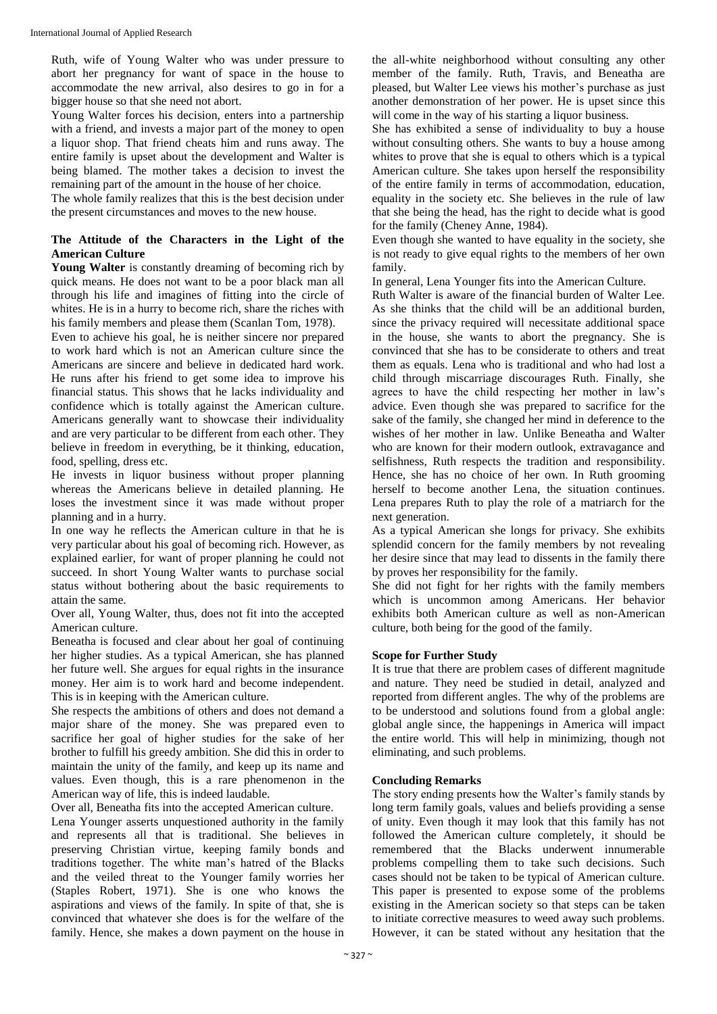Ruth, wife of Young Walter who was under pressure to abort her pregnancy for want of space in the house to accommodate the new arrival, also desires to go in for a bigger house so that she need not abort.

Young Walter forces his decision, enters into a partnership with a friend, and invests a major part of the money to open a liquor shop. That friend cheats him and runs away. The entire family is upset about the development and Walter is being blamed. The mother takes a decision to invest the remaining part of the amount in the house of her choice.

The whole family realizes that this is the best decision under the present circumstances and moves to the new house.

#### **The Attitude of the Characters in the Light of the American Culture**

**Young Walter** is constantly dreaming of becoming rich by quick means. He does not want to be a poor black man all through his life and imagines of fitting into the circle of whites. He is in a hurry to become rich, share the riches with his family members and please them (Scanlan Tom, 1978).

Even to achieve his goal, he is neither sincere nor prepared to work hard which is not an American culture since the Americans are sincere and believe in dedicated hard work. He runs after his friend to get some idea to improve his financial status. This shows that he lacks individuality and confidence which is totally against the American culture. Americans generally want to showcase their individuality and are very particular to be different from each other. They believe in freedom in everything, be it thinking, education, food, spelling, dress etc.

He invests in liquor business without proper planning whereas the Americans believe in detailed planning. He loses the investment since it was made without proper planning and in a hurry.

In one way he reflects the American culture in that he is very particular about his goal of becoming rich. However, as explained earlier, for want of proper planning he could not succeed. In short Young Walter wants to purchase social status without bothering about the basic requirements to attain the same.

Over all, Young Walter, thus, does not fit into the accepted American culture.

Beneatha is focused and clear about her goal of continuing her higher studies. As a typical American, she has planned her future well. She argues for equal rights in the insurance money. Her aim is to work hard and become independent. This is in keeping with the American culture.

She respects the ambitions of others and does not demand a major share of the money. She was prepared even to sacrifice her goal of higher studies for the sake of her brother to fulfill his greedy ambition. She did this in order to maintain the unity of the family, and keep up its name and values. Even though, this is a rare phenomenon in the American way of life, this is indeed laudable.

Over all, Beneatha fits into the accepted American culture.

Lena Younger asserts unquestioned authority in the family and represents all that is traditional. She believes in preserving Christian virtue, keeping family bonds and traditions together. The white man's hatred of the Blacks and the veiled threat to the Younger family worries her (Staples Robert, 1971). She is one who knows the aspirations and views of the family. In spite of that, she is convinced that whatever she does is for the welfare of the family. Hence, she makes a down payment on the house in

the all-white neighborhood without consulting any other member of the family. Ruth, Travis, and Beneatha are pleased, but Walter Lee views his mother's purchase as just another demonstration of her power. He is upset since this will come in the way of his starting a liquor business.

She has exhibited a sense of individuality to buy a house without consulting others. She wants to buy a house among whites to prove that she is equal to others which is a typical American culture. She takes upon herself the responsibility of the entire family in terms of accommodation, education, equality in the society etc. She believes in the rule of law that she being the head, has the right to decide what is good for the family (Cheney Anne, 1984).

Even though she wanted to have equality in the society, she is not ready to give equal rights to the members of her own family.

In general, Lena Younger fits into the American Culture.

Ruth Walter is aware of the financial burden of Walter Lee. As she thinks that the child will be an additional burden, since the privacy required will necessitate additional space in the house, she wants to abort the pregnancy. She is convinced that she has to be considerate to others and treat them as equals. Lena who is traditional and who had lost a child through miscarriage discourages Ruth. Finally, she agrees to have the child respecting her mother in law's advice. Even though she was prepared to sacrifice for the sake of the family, she changed her mind in deference to the wishes of her mother in law. Unlike Beneatha and Walter who are known for their modern outlook, extravagance and selfishness, Ruth respects the tradition and responsibility. Hence, she has no choice of her own. In Ruth grooming herself to become another Lena, the situation continues. Lena prepares Ruth to play the role of a matriarch for the next generation.

As a typical American she longs for privacy. She exhibits splendid concern for the family members by not revealing her desire since that may lead to dissents in the family there by proves her responsibility for the family.

She did not fight for her rights with the family members which is uncommon among Americans. Her behavior exhibits both American culture as well as non-American culture, both being for the good of the family.

#### **Scope for Further Study**

It is true that there are problem cases of different magnitude and nature. They need be studied in detail, analyzed and reported from different angles. The why of the problems are to be understood and solutions found from a global angle: global angle since, the happenings in America will impact the entire world. This will help in minimizing, though not eliminating, and such problems.

#### **Concluding Remarks**

The story ending presents how the Walter's family stands by long term family goals, values and beliefs providing a sense of unity. Even though it may look that this family has not followed the American culture completely, it should be remembered that the Blacks underwent innumerable problems compelling them to take such decisions. Such cases should not be taken to be typical of American culture. This paper is presented to expose some of the problems existing in the American society so that steps can be taken to initiate corrective measures to weed away such problems. However, it can be stated without any hesitation that the